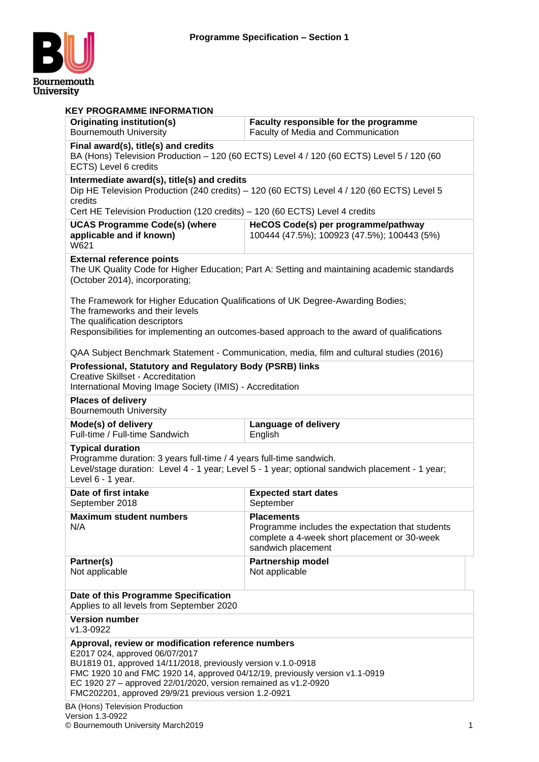

| <b>KEY PROGRAMME INFORMATION</b>                                                                                                                                                                                                                                                                                                                                                                     |                                                                                                                                             |  |  |  |
|------------------------------------------------------------------------------------------------------------------------------------------------------------------------------------------------------------------------------------------------------------------------------------------------------------------------------------------------------------------------------------------------------|---------------------------------------------------------------------------------------------------------------------------------------------|--|--|--|
| Originating institution(s)<br><b>Bournemouth University</b>                                                                                                                                                                                                                                                                                                                                          | Faculty responsible for the programme<br>Faculty of Media and Communication                                                                 |  |  |  |
| Final award(s), title(s) and credits<br>BA (Hons) Television Production - 120 (60 ECTS) Level 4 / 120 (60 ECTS) Level 5 / 120 (60<br>ECTS) Level 6 credits                                                                                                                                                                                                                                           |                                                                                                                                             |  |  |  |
| Intermediate award(s), title(s) and credits                                                                                                                                                                                                                                                                                                                                                          | Dip HE Television Production (240 credits) - 120 (60 ECTS) Level 4 / 120 (60 ECTS) Level 5                                                  |  |  |  |
| credits<br>Cert HE Television Production (120 credits) - 120 (60 ECTS) Level 4 credits                                                                                                                                                                                                                                                                                                               |                                                                                                                                             |  |  |  |
| <b>UCAS Programme Code(s) (where</b><br>HeCOS Code(s) per programme/pathway<br>applicable and if known)<br>100444 (47.5%); 100923 (47.5%); 100443 (5%)<br>W621                                                                                                                                                                                                                                       |                                                                                                                                             |  |  |  |
| <b>External reference points</b><br>(October 2014), incorporating;                                                                                                                                                                                                                                                                                                                                   | The UK Quality Code for Higher Education; Part A: Setting and maintaining academic standards                                                |  |  |  |
| The Framework for Higher Education Qualifications of UK Degree-Awarding Bodies;<br>The frameworks and their levels<br>The qualification descriptors                                                                                                                                                                                                                                                  | Responsibilities for implementing an outcomes-based approach to the award of qualifications                                                 |  |  |  |
|                                                                                                                                                                                                                                                                                                                                                                                                      | QAA Subject Benchmark Statement - Communication, media, film and cultural studies (2016)                                                    |  |  |  |
| Professional, Statutory and Regulatory Body (PSRB) links<br><b>Creative Skillset - Accreditation</b><br>International Moving Image Society (IMIS) - Accreditation                                                                                                                                                                                                                                    |                                                                                                                                             |  |  |  |
| <b>Places of delivery</b><br><b>Bournemouth University</b>                                                                                                                                                                                                                                                                                                                                           |                                                                                                                                             |  |  |  |
| Mode(s) of delivery                                                                                                                                                                                                                                                                                                                                                                                  | Language of delivery                                                                                                                        |  |  |  |
| Full-time / Full-time Sandwich                                                                                                                                                                                                                                                                                                                                                                       | English                                                                                                                                     |  |  |  |
| <b>Typical duration</b><br>Programme duration: 3 years full-time / 4 years full-time sandwich.<br>Level 6 - 1 year.                                                                                                                                                                                                                                                                                  | Level/stage duration: Level 4 - 1 year; Level 5 - 1 year; optional sandwich placement - 1 year;                                             |  |  |  |
| Date of first intake<br>September 2018                                                                                                                                                                                                                                                                                                                                                               | <b>Expected start dates</b><br>September                                                                                                    |  |  |  |
| <b>Maximum student numbers</b><br>N/A                                                                                                                                                                                                                                                                                                                                                                | <b>Placements</b><br>Programme includes the expectation that students<br>complete a 4-week short placement or 30-week<br>sandwich placement |  |  |  |
| Partner(s)<br>Not applicable                                                                                                                                                                                                                                                                                                                                                                         | <b>Partnership model</b><br>Not applicable                                                                                                  |  |  |  |
| Date of this Programme Specification<br>Applies to all levels from September 2020                                                                                                                                                                                                                                                                                                                    |                                                                                                                                             |  |  |  |
| <b>Version number</b><br>v1.3-0922                                                                                                                                                                                                                                                                                                                                                                   |                                                                                                                                             |  |  |  |
| Approval, review or modification reference numbers<br>E2017 024, approved 06/07/2017<br>BU1819 01, approved 14/11/2018, previously version v.1.0-0918<br>FMC 1920 10 and FMC 1920 14, approved 04/12/19, previously version v1.1-0919<br>EC 1920 27 - approved 22/01/2020, version remained as v1.2-0920<br>FMC202201, approved 29/9/21 previous version 1.2-0921<br>RA (Hone) Television Production |                                                                                                                                             |  |  |  |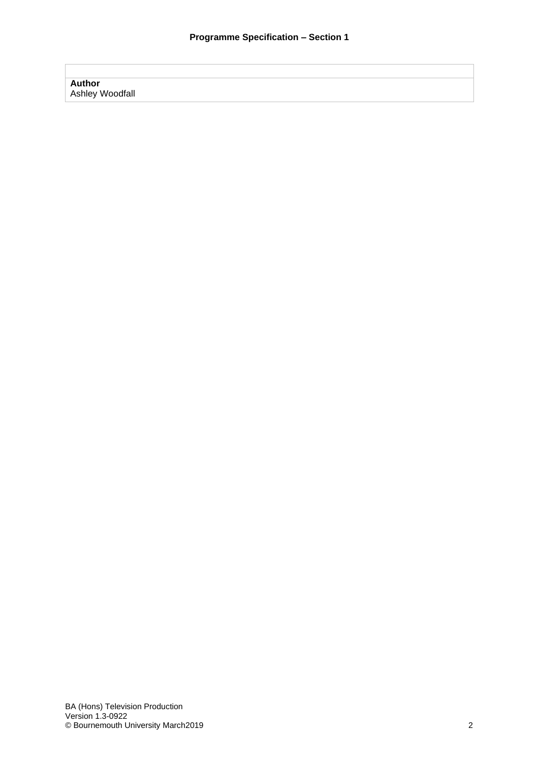# **Author** Ashley Woodfall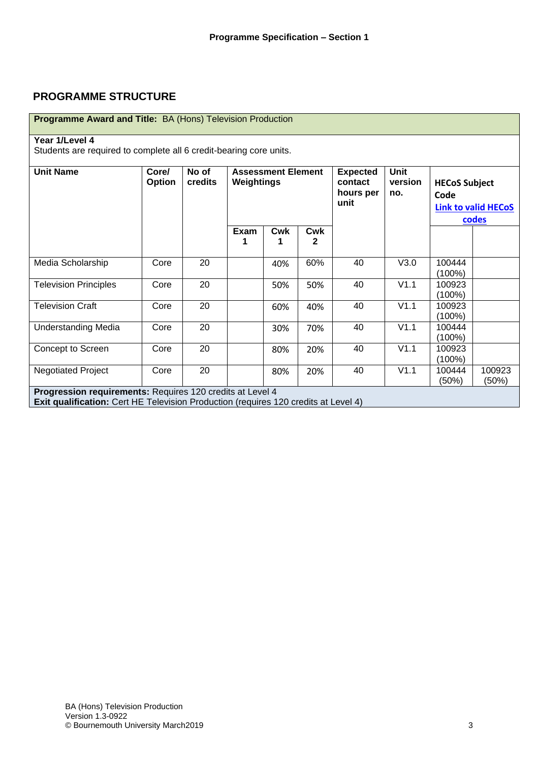# **PROGRAMME STRUCTURE**

| <b>Programme Award and Title: BA (Hons) Television Production</b>                                                                                       |                 |                  |                                         |                 |                                                 |                               |                              |                                     |                 |
|---------------------------------------------------------------------------------------------------------------------------------------------------------|-----------------|------------------|-----------------------------------------|-----------------|-------------------------------------------------|-------------------------------|------------------------------|-------------------------------------|-----------------|
| Year 1/Level 4                                                                                                                                          |                 |                  |                                         |                 |                                                 |                               |                              |                                     |                 |
| Students are required to complete all 6 credit-bearing core units.                                                                                      |                 |                  |                                         |                 |                                                 |                               |                              |                                     |                 |
| <b>Unit Name</b>                                                                                                                                        | Core/<br>Option | No of<br>credits | <b>Assessment Element</b><br>Weightings |                 | <b>Expected</b><br>contact<br>hours per<br>unit | <b>Unit</b><br>version<br>no. | <b>HECoS Subject</b><br>Code | <b>Link to valid HECoS</b><br>codes |                 |
|                                                                                                                                                         |                 |                  | Exam<br>1                               | <b>Cwk</b><br>1 | <b>Cwk</b><br>$\mathbf{2}$                      |                               |                              |                                     |                 |
| Media Scholarship                                                                                                                                       | Core            | 20               |                                         | 40%             | 60%                                             | 40                            | V3.0                         | 100444<br>$(100\%)$                 |                 |
| <b>Television Principles</b>                                                                                                                            | Core            | 20               |                                         | 50%             | 50%                                             | 40                            | V1.1                         | 100923<br>$(100\%)$                 |                 |
| <b>Television Craft</b>                                                                                                                                 | Core            | 20               |                                         | 60%             | 40%                                             | 40                            | V1.1                         | 100923<br>$(100\%)$                 |                 |
| <b>Understanding Media</b>                                                                                                                              | Core            | 20               |                                         | 30%             | 70%                                             | 40                            | V1.1                         | 100444<br>$(100\%)$                 |                 |
| Concept to Screen                                                                                                                                       | Core            | 20               |                                         | 80%             | 20%                                             | 40                            | V1.1                         | 100923<br>$(100\%)$                 |                 |
| <b>Negotiated Project</b>                                                                                                                               | Core            | 20               |                                         | 80%             | 20%                                             | 40                            | V1.1                         | 100444<br>(50%)                     | 100923<br>(50%) |
| Progression requirements: Requires 120 credits at Level 4<br><b>Exit qualification:</b> Cert HE Television Production (requires 120 credits at Level 4) |                 |                  |                                         |                 |                                                 |                               |                              |                                     |                 |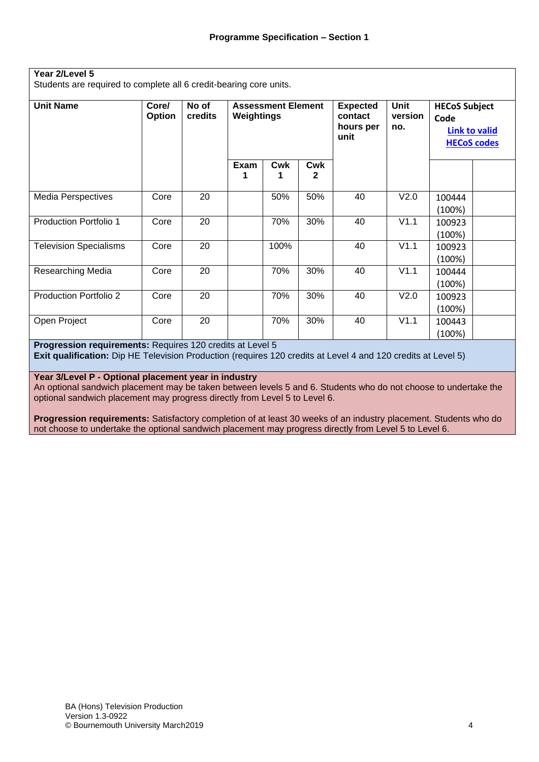#### **Year 2/Level 5**

Students are required to complete all 6 credit-bearing core units.

| <b>Unit Name</b>              | Core/<br>Option | No of<br><b>credits</b> | <b>Assessment Element</b><br>Weightings |          | <b>Expected</b><br>contact<br>hours per<br>unit | Unit<br>version<br>no. | <b>HECoS Subject</b><br>Code | <b>Link to valid</b><br><b>HECoS codes</b> |  |
|-------------------------------|-----------------|-------------------------|-----------------------------------------|----------|-------------------------------------------------|------------------------|------------------------------|--------------------------------------------|--|
|                               |                 |                         | Exam<br>1                               | Cwk<br>1 | Cwk<br>2                                        |                        |                              |                                            |  |
| <b>Media Perspectives</b>     | Core            | 20                      |                                         | 50%      | 50%                                             | 40                     | V2.0                         | 100444<br>(100%)                           |  |
| <b>Production Portfolio 1</b> | Core            | 20                      |                                         | 70%      | 30%                                             | 40                     | V1.1                         | 100923<br>(100%)                           |  |
| <b>Television Specialisms</b> | Core            | 20                      |                                         | 100%     |                                                 | 40                     | V1.1                         | 100923<br>(100%)                           |  |
| <b>Researching Media</b>      | Core            | 20                      |                                         | 70%      | 30%                                             | 40                     | V1.1                         | 100444<br>(100%)                           |  |
| Production Portfolio 2        | Core            | 20                      |                                         | 70%      | 30%                                             | 40                     | V2.0                         | 100923<br>(100%)                           |  |
| Open Project                  | Core            | 20                      |                                         | 70%      | 30%                                             | 40                     | V1.1                         | 100443<br>(100%)                           |  |

### **Progression requirements:** Requires 120 credits at Level 5

**Exit qualification:** Dip HE Television Production (requires 120 credits at Level 4 and 120 credits at Level 5)

#### **Year 3/Level P - Optional placement year in industry**

An optional sandwich placement may be taken between levels 5 and 6. Students who do not choose to undertake the optional sandwich placement may progress directly from Level 5 to Level 6.

**Progression requirements:** Satisfactory completion of at least 30 weeks of an industry placement. Students who do not choose to undertake the optional sandwich placement may progress directly from Level 5 to Level 6.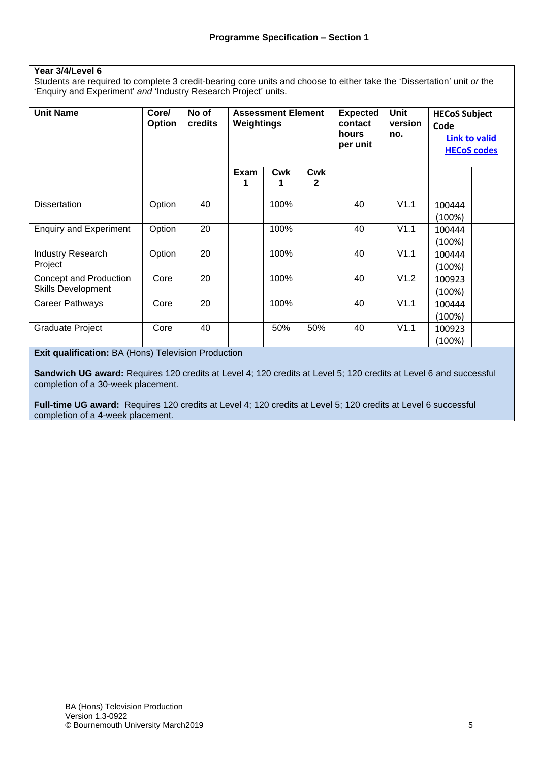### **Year 3/4/Level 6**

Students are required to complete 3 credit-bearing core units and choose to either take the 'Dissertation' unit *or* the 'Enquiry and Experiment' *and* 'Industry Research Project' units.

| <b>Unit Name</b>                                    | Core/<br>Option | No of<br>credits | <b>Assessment Element</b><br>Weightings |                   | <b>Expected</b><br>contact<br>hours<br>per unit | <b>Unit</b><br>version<br>no. | <b>HECoS Subject</b><br>Code | <b>Link to valid</b> |                    |
|-----------------------------------------------------|-----------------|------------------|-----------------------------------------|-------------------|-------------------------------------------------|-------------------------------|------------------------------|----------------------|--------------------|
|                                                     |                 |                  | Exam                                    | Cwk<br><b>Cwk</b> |                                                 |                               |                              |                      | <b>HECoS codes</b> |
|                                                     |                 |                  |                                         |                   | $\mathbf{2}$                                    |                               |                              |                      |                    |
| <b>Dissertation</b>                                 | Option          | 40               |                                         | 100%              |                                                 | 40                            | V1.1                         | 100444<br>(100%)     |                    |
| <b>Enquiry and Experiment</b>                       | Option          | 20               |                                         | 100%              |                                                 | 40                            | V1.1                         | 100444<br>(100%)     |                    |
| <b>Industry Research</b><br>Project                 | Option          | 20               |                                         | 100%              |                                                 | 40                            | V1.1                         | 100444<br>(100%)     |                    |
| Concept and Production<br><b>Skills Development</b> | Core            | 20               |                                         | 100%              |                                                 | 40                            | V1.2                         | 100923<br>(100%)     |                    |
| Career Pathways                                     | Core            | 20               |                                         | 100%              |                                                 | 40                            | V1.1                         | 100444<br>(100%)     |                    |
| Graduate Project                                    | Core            | 40               |                                         | 50%               | 50%                                             | 40                            | V1.1                         | 100923<br>(100%)     |                    |

**Exit qualification:** BA (Hons) Television Production

**Sandwich UG award:** Requires 120 credits at Level 4; 120 credits at Level 5; 120 credits at Level 6 and successful completion of a 30-week placement*.*

**Full-time UG award:** Requires 120 credits at Level 4; 120 credits at Level 5; 120 credits at Level 6 successful completion of a 4-week placement*.*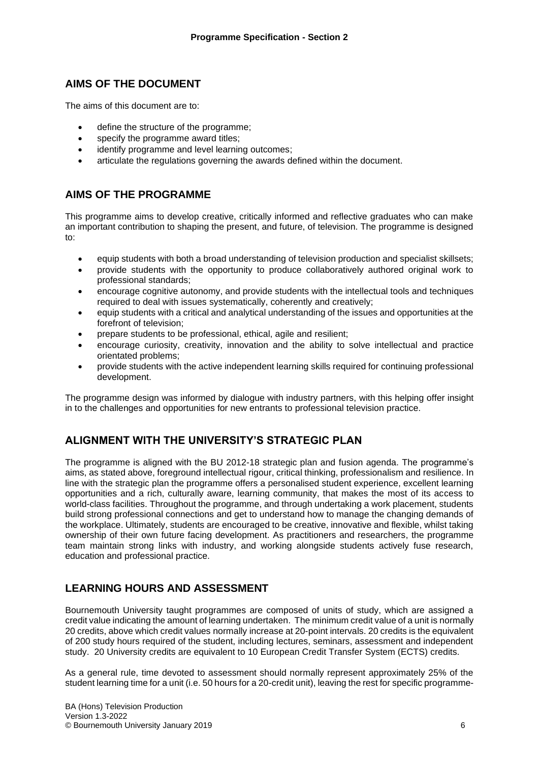# **AIMS OF THE DOCUMENT**

The aims of this document are to:

- define the structure of the programme;
- specify the programme award titles;
- identify programme and level learning outcomes;
- articulate the regulations governing the awards defined within the document.

# **AIMS OF THE PROGRAMME**

This programme aims to develop creative, critically informed and reflective graduates who can make an important contribution to shaping the present, and future, of television. The programme is designed to:

- equip students with both a broad understanding of television production and specialist skillsets;
- provide students with the opportunity to produce collaboratively authored original work to professional standards;
- encourage cognitive autonomy, and provide students with the intellectual tools and techniques required to deal with issues systematically, coherently and creatively;
- equip students with a critical and analytical understanding of the issues and opportunities at the forefront of television;
- prepare students to be professional, ethical, agile and resilient;
- encourage curiosity, creativity, innovation and the ability to solve intellectual and practice orientated problems;
- provide students with the active independent learning skills required for continuing professional development.

The programme design was informed by dialogue with industry partners, with this helping offer insight in to the challenges and opportunities for new entrants to professional television practice.

# **ALIGNMENT WITH THE UNIVERSITY'S STRATEGIC PLAN**

The programme is aligned with the BU 2012-18 strategic plan and fusion agenda. The programme's aims, as stated above, foreground intellectual rigour, critical thinking, professionalism and resilience. In line with the strategic plan the programme offers a personalised student experience, excellent learning opportunities and a rich, culturally aware, learning community, that makes the most of its access to world-class facilities. Throughout the programme, and through undertaking a work placement, students build strong professional connections and get to understand how to manage the changing demands of the workplace. Ultimately, students are encouraged to be creative, innovative and flexible, whilst taking ownership of their own future facing development. As practitioners and researchers, the programme team maintain strong links with industry, and working alongside students actively fuse research, education and professional practice.

# **LEARNING HOURS AND ASSESSMENT**

Bournemouth University taught programmes are composed of units of study, which are assigned a credit value indicating the amount of learning undertaken. The minimum credit value of a unit is normally 20 credits, above which credit values normally increase at 20-point intervals. 20 credits is the equivalent of 200 study hours required of the student, including lectures, seminars, assessment and independent study. 20 University credits are equivalent to 10 European Credit Transfer System (ECTS) credits.

As a general rule, time devoted to assessment should normally represent approximately 25% of the student learning time for a unit (i.e. 50 hours for a 20-credit unit), leaving the rest for specific programme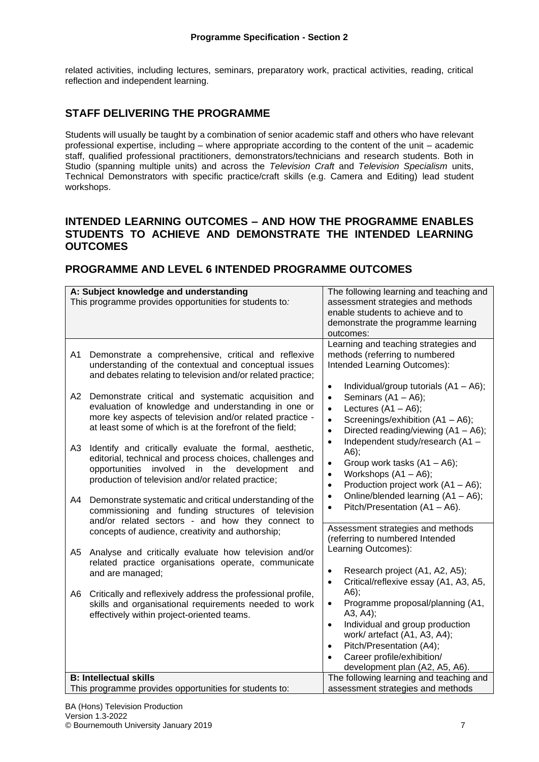related activities, including lectures, seminars, preparatory work, practical activities, reading, critical reflection and independent learning.

# **STAFF DELIVERING THE PROGRAMME**

Students will usually be taught by a combination of senior academic staff and others who have relevant professional expertise, including – where appropriate according to the content of the unit – academic staff, qualified professional practitioners, demonstrators/technicians and research students. Both in Studio (spanning multiple units) and across the *Television Craft* and *Television Specialism* units, Technical Demonstrators with specific practice/craft skills (e.g. Camera and Editing) lead student workshops.

### **INTENDED LEARNING OUTCOMES – AND HOW THE PROGRAMME ENABLES STUDENTS TO ACHIEVE AND DEMONSTRATE THE INTENDED LEARNING OUTCOMES**

# **PROGRAMME AND LEVEL 6 INTENDED PROGRAMME OUTCOMES**

|                                              | A: Subject knowledge and understanding<br>This programme provides opportunities for students to:                                                                                                                                                                                                                                                                                                                                                                                                                                                                                                                                                                                                                                                                       | The following learning and teaching and<br>assessment strategies and methods<br>enable students to achieve and to<br>demonstrate the programme learning<br>outcomes:                                                                                                                                                                                                                                                                                                                                                                                                                                                                          |
|----------------------------------------------|------------------------------------------------------------------------------------------------------------------------------------------------------------------------------------------------------------------------------------------------------------------------------------------------------------------------------------------------------------------------------------------------------------------------------------------------------------------------------------------------------------------------------------------------------------------------------------------------------------------------------------------------------------------------------------------------------------------------------------------------------------------------|-----------------------------------------------------------------------------------------------------------------------------------------------------------------------------------------------------------------------------------------------------------------------------------------------------------------------------------------------------------------------------------------------------------------------------------------------------------------------------------------------------------------------------------------------------------------------------------------------------------------------------------------------|
| A <sub>1</sub><br>A2<br>A <sub>3</sub><br>A4 | Demonstrate a comprehensive, critical and reflexive<br>understanding of the contextual and conceptual issues<br>and debates relating to television and/or related practice;<br>Demonstrate critical and systematic acquisition and<br>evaluation of knowledge and understanding in one or<br>more key aspects of television and/or related practice -<br>at least some of which is at the forefront of the field;<br>Identify and critically evaluate the formal, aesthetic,<br>editorial, technical and process choices, challenges and<br>opportunities involved<br>in the development<br>and<br>production of television and/or related practice;<br>Demonstrate systematic and critical understanding of the<br>commissioning and funding structures of television | Learning and teaching strategies and<br>methods (referring to numbered<br>Intended Learning Outcomes):<br>Individual/group tutorials (A1 - A6);<br>$\bullet$<br>Seminars $(A1 - A6)$ ;<br>$\bullet$<br>Lectures $(A1 - A6)$ ;<br>$\bullet$<br>Screenings/exhibition (A1 - A6);<br>$\bullet$<br>Directed reading/viewing (A1 - A6);<br>$\bullet$<br>Independent study/research (A1 -<br>$\bullet$<br>A6);<br>Group work tasks (A1 - A6);<br>$\bullet$<br>Workshops (A1 - A6);<br>$\bullet$<br>Production project work (A1 - A6);<br>$\bullet$<br>Online/blended learning (A1 - A6);<br>$\bullet$<br>Pitch/Presentation (A1 - A6).<br>$\bullet$ |
| A5                                           | and/or related sectors - and how they connect to<br>concepts of audience, creativity and authorship;<br>Analyse and critically evaluate how television and/or                                                                                                                                                                                                                                                                                                                                                                                                                                                                                                                                                                                                          | Assessment strategies and methods<br>(referring to numbered Intended<br>Learning Outcomes):                                                                                                                                                                                                                                                                                                                                                                                                                                                                                                                                                   |
| A <sub>6</sub>                               | related practice organisations operate, communicate<br>and are managed;<br>Critically and reflexively address the professional profile,                                                                                                                                                                                                                                                                                                                                                                                                                                                                                                                                                                                                                                | Research project (A1, A2, A5);<br>$\bullet$<br>Critical/reflexive essay (A1, A3, A5,<br>$\bullet$<br>$A6$ ;                                                                                                                                                                                                                                                                                                                                                                                                                                                                                                                                   |
|                                              | skills and organisational requirements needed to work<br>effectively within project-oriented teams.                                                                                                                                                                                                                                                                                                                                                                                                                                                                                                                                                                                                                                                                    | Programme proposal/planning (A1,<br>$\bullet$<br>A3, A4);<br>Individual and group production<br>$\bullet$<br>work/ artefact (A1, A3, A4);<br>Pitch/Presentation (A4);<br>$\bullet$<br>Career profile/exhibition/<br>$\bullet$<br>development plan (A2, A5, A6).                                                                                                                                                                                                                                                                                                                                                                               |
|                                              | <b>B: Intellectual skills</b><br>This programme provides opportunities for students to:                                                                                                                                                                                                                                                                                                                                                                                                                                                                                                                                                                                                                                                                                | The following learning and teaching and<br>assessment strategies and methods                                                                                                                                                                                                                                                                                                                                                                                                                                                                                                                                                                  |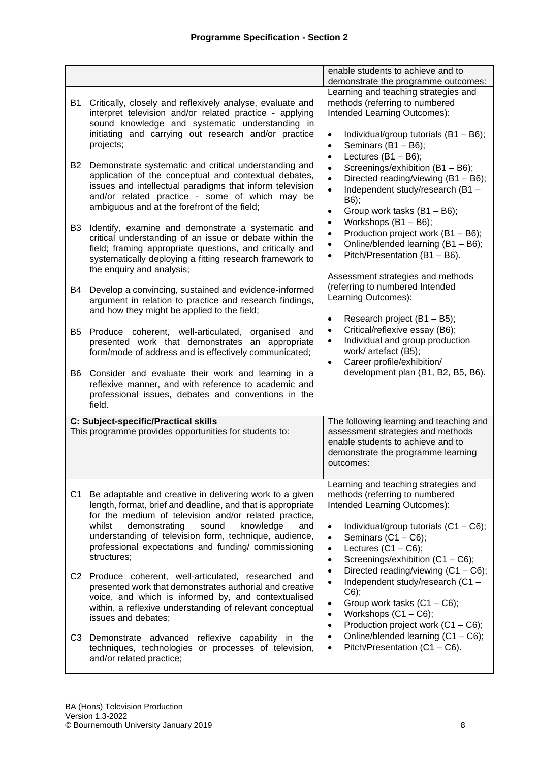|                                                                                                                                                                                                                                                                                                                                                                                                                                                                                                                                                                                                                                                                                                                                                                                                                                  | enable students to achieve and to<br>demonstrate the programme outcomes:                                                                                                                                                                                                                                                                                                                                                                                                                                                                                                                                                                        |
|----------------------------------------------------------------------------------------------------------------------------------------------------------------------------------------------------------------------------------------------------------------------------------------------------------------------------------------------------------------------------------------------------------------------------------------------------------------------------------------------------------------------------------------------------------------------------------------------------------------------------------------------------------------------------------------------------------------------------------------------------------------------------------------------------------------------------------|-------------------------------------------------------------------------------------------------------------------------------------------------------------------------------------------------------------------------------------------------------------------------------------------------------------------------------------------------------------------------------------------------------------------------------------------------------------------------------------------------------------------------------------------------------------------------------------------------------------------------------------------------|
| B1<br>Critically, closely and reflexively analyse, evaluate and<br>interpret television and/or related practice - applying<br>sound knowledge and systematic understanding in<br>initiating and carrying out research and/or practice<br>projects;<br>B2<br>Demonstrate systematic and critical understanding and<br>application of the conceptual and contextual debates,<br>issues and intellectual paradigms that inform television<br>and/or related practice - some of which may be<br>ambiguous and at the forefront of the field;<br>B <sub>3</sub><br>Identify, examine and demonstrate a systematic and<br>critical understanding of an issue or debate within the<br>field; framing appropriate questions, and critically and<br>systematically deploying a fitting research framework to<br>the enquiry and analysis; | Learning and teaching strategies and<br>methods (referring to numbered<br>Intended Learning Outcomes):<br>Individual/group tutorials $(B1 - B6)$ ;<br>$\bullet$<br>Seminars $(B1 - B6)$ ;<br>$\bullet$<br>Lectures $(B1 - B6)$ ;<br>$\bullet$<br>Screenings/exhibition (B1 - B6);<br>$\bullet$<br>Directed reading/viewing (B1 - B6);<br>$\bullet$<br>Independent study/research (B1-<br>$\bullet$<br>B6);<br>Group work tasks (B1 - B6);<br>$\bullet$<br>Workshops (B1 - B6);<br>$\bullet$<br>Production project work (B1 - B6);<br>$\bullet$<br>Online/blended learning (B1 - B6);<br>$\bullet$<br>Pitch/Presentation (B1 - B6).<br>$\bullet$ |
| Develop a convincing, sustained and evidence-informed<br>B4<br>argument in relation to practice and research findings,<br>and how they might be applied to the field;                                                                                                                                                                                                                                                                                                                                                                                                                                                                                                                                                                                                                                                            | Assessment strategies and methods<br>(referring to numbered Intended<br>Learning Outcomes):<br>Research project (B1 - B5);<br>$\bullet$                                                                                                                                                                                                                                                                                                                                                                                                                                                                                                         |
| B5<br>Produce coherent, well-articulated, organised<br>and<br>presented work that demonstrates an appropriate<br>form/mode of address and is effectively communicated;                                                                                                                                                                                                                                                                                                                                                                                                                                                                                                                                                                                                                                                           | Critical/reflexive essay (B6);<br>$\bullet$<br>Individual and group production<br>$\bullet$<br>work/ artefact (B5);<br>Career profile/exhibition/<br>$\bullet$                                                                                                                                                                                                                                                                                                                                                                                                                                                                                  |
| B6<br>Consider and evaluate their work and learning in a<br>reflexive manner, and with reference to academic and<br>professional issues, debates and conventions in the<br>field.                                                                                                                                                                                                                                                                                                                                                                                                                                                                                                                                                                                                                                                | development plan (B1, B2, B5, B6).                                                                                                                                                                                                                                                                                                                                                                                                                                                                                                                                                                                                              |
| C: Subject-specific/Practical skills<br>This programme provides opportunities for students to:                                                                                                                                                                                                                                                                                                                                                                                                                                                                                                                                                                                                                                                                                                                                   | The following learning and teaching and<br>assessment strategies and methods<br>enable students to achieve and to<br>demonstrate the programme learning<br>outcomes:                                                                                                                                                                                                                                                                                                                                                                                                                                                                            |
| C <sub>1</sub><br>Be adaptable and creative in delivering work to a given<br>length, format, brief and deadline, and that is appropriate<br>for the medium of television and/or related practice,<br>demonstrating<br>knowledge<br>whilst<br>sound<br>and<br>understanding of television form, technique, audience,<br>professional expectations and funding/ commissioning<br>structures;                                                                                                                                                                                                                                                                                                                                                                                                                                       | Learning and teaching strategies and<br>methods (referring to numbered<br>Intended Learning Outcomes):<br>Individual/group tutorials $(C1 - C6)$ ;<br>$\bullet$<br>Seminars $(C1 - C6)$ ;<br>$\bullet$<br>Lectures $(C1 - C6)$ ;<br>$\bullet$<br>Screenings/exhibition (C1 - C6);<br>$\bullet$                                                                                                                                                                                                                                                                                                                                                  |
| C2 Produce coherent, well-articulated, researched and<br>presented work that demonstrates authorial and creative<br>voice, and which is informed by, and contextualised<br>within, a reflexive understanding of relevant conceptual<br>issues and debates;                                                                                                                                                                                                                                                                                                                                                                                                                                                                                                                                                                       | Directed reading/viewing (C1 - C6);<br>$\bullet$<br>Independent study/research (C1 -<br>$\bullet$<br>$C6$ ;<br>Group work tasks $(C1 - C6)$ ;<br>$\bullet$<br>Workshops $(C1 - C6)$ ;<br>$\bullet$<br>Production project work (C1 - C6);<br>$\bullet$                                                                                                                                                                                                                                                                                                                                                                                           |
| C <sub>3</sub><br>Demonstrate advanced reflexive capability in the<br>techniques, technologies or processes of television,<br>and/or related practice;                                                                                                                                                                                                                                                                                                                                                                                                                                                                                                                                                                                                                                                                           | Online/blended learning (C1 - C6);<br>$\bullet$<br>Pitch/Presentation (C1 - C6).<br>$\bullet$                                                                                                                                                                                                                                                                                                                                                                                                                                                                                                                                                   |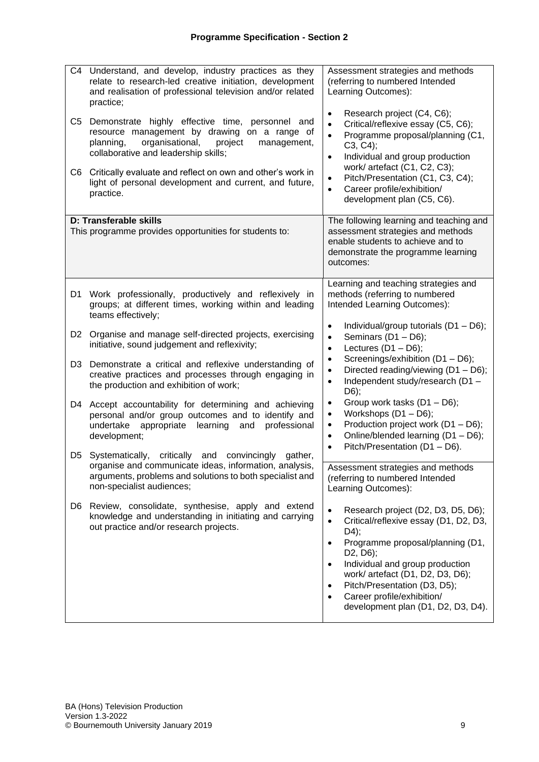| C4<br>C5       | Understand, and develop, industry practices as they<br>relate to research-led creative initiation, development<br>and realisation of professional television and/or related<br>practice;<br>Demonstrate highly effective time, personnel and | Assessment strategies and methods<br>(referring to numbered Intended<br>Learning Outcomes):<br>Research project (C4, C6);<br>$\bullet$<br>Critical/reflexive essay (C5, C6);<br>$\bullet$                                                                                                             |
|----------------|----------------------------------------------------------------------------------------------------------------------------------------------------------------------------------------------------------------------------------------------|-------------------------------------------------------------------------------------------------------------------------------------------------------------------------------------------------------------------------------------------------------------------------------------------------------|
|                | resource management by drawing on a range of<br>organisational,<br>planning,<br>project<br>management,<br>collaborative and leadership skills;                                                                                               | Programme proposal/planning (C1,<br>$\bullet$<br>C3, C4);<br>Individual and group production<br>$\bullet$                                                                                                                                                                                             |
| C6             | Critically evaluate and reflect on own and other's work in<br>light of personal development and current, and future,<br>practice.                                                                                                            | work/ artefact (C1, C2, C3);<br>Pitch/Presentation (C1, C3, C4);<br>$\bullet$<br>Career profile/exhibition/<br>$\bullet$<br>development plan (C5, C6).                                                                                                                                                |
|                | D: Transferable skills<br>This programme provides opportunities for students to:                                                                                                                                                             | The following learning and teaching and<br>assessment strategies and methods<br>enable students to achieve and to<br>demonstrate the programme learning<br>outcomes:                                                                                                                                  |
| D1             | Work professionally, productively and reflexively in<br>groups; at different times, working within and leading<br>teams effectively;                                                                                                         | Learning and teaching strategies and<br>methods (referring to numbered<br>Intended Learning Outcomes):                                                                                                                                                                                                |
| D <sub>2</sub> | Organise and manage self-directed projects, exercising<br>initiative, sound judgement and reflexivity;                                                                                                                                       | Individual/group tutorials (D1 - D6);<br>$\bullet$<br>Seminars (D1 - D6);<br>$\bullet$<br>Lectures $(D1 - D6)$ ;<br>$\bullet$                                                                                                                                                                         |
| D3             | Demonstrate a critical and reflexive understanding of<br>creative practices and processes through engaging in<br>the production and exhibition of work;                                                                                      | Screenings/exhibition (D1 - D6);<br>$\bullet$<br>Directed reading/viewing (D1 - D6);<br>$\bullet$<br>Independent study/research (D1 -<br>$\bullet$<br>D6);                                                                                                                                            |
| D4             | Accept accountability for determining and achieving<br>personal and/or group outcomes and to identify and<br>undertake<br>appropriate<br>learning<br>professional<br>and<br>development;                                                     | Group work tasks (D1 - D6);<br>$\bullet$<br>Workshops (D1 - D6);<br>$\bullet$<br>Production project work (D1 - D6);<br>$\bullet$<br>Online/blended learning (D1 - D6);<br>$\bullet$<br>Pitch/Presentation (D1 - D6).                                                                                  |
| D5             | critically<br>convincingly<br>Systematically,<br>and<br>gather,<br>organise and communicate ideas, information, analysis,<br>arguments, problems and solutions to both specialist and<br>non-specialist audiences;                           | $\bullet$<br>Assessment strategies and methods<br>(referring to numbered Intended<br>Learning Outcomes):                                                                                                                                                                                              |
| D6.            | Review, consolidate, synthesise, apply and extend<br>knowledge and understanding in initiating and carrying<br>out practice and/or research projects.                                                                                        | Research project (D2, D3, D5, D6);<br>$\bullet$<br>Critical/reflexive essay (D1, D2, D3,<br>$\bullet$<br>D4);                                                                                                                                                                                         |
|                |                                                                                                                                                                                                                                              | Programme proposal/planning (D1,<br>$\bullet$<br>D <sub>2</sub> , D <sub>6</sub> );<br>Individual and group production<br>$\bullet$<br>work/ artefact (D1, D2, D3, D6);<br>Pitch/Presentation (D3, D5);<br>$\bullet$<br>Career profile/exhibition/<br>$\bullet$<br>development plan (D1, D2, D3, D4). |
|                |                                                                                                                                                                                                                                              |                                                                                                                                                                                                                                                                                                       |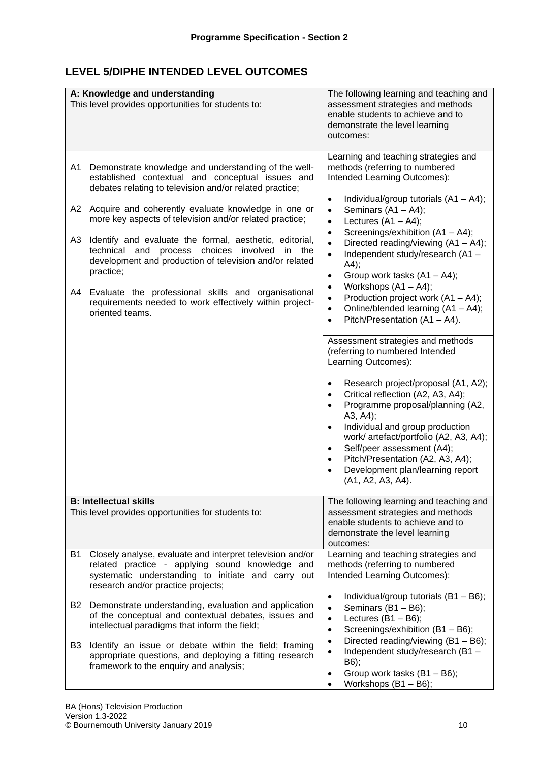# **LEVEL 5/DIPHE INTENDED LEVEL OUTCOMES**

|    | A: Knowledge and understanding<br>This level provides opportunities for students to:                                                                                                                       | The following learning and teaching and<br>assessment strategies and methods<br>enable students to achieve and to<br>demonstrate the level learning<br>outcomes:                                                                                                                                                                                                                                                            |
|----|------------------------------------------------------------------------------------------------------------------------------------------------------------------------------------------------------------|-----------------------------------------------------------------------------------------------------------------------------------------------------------------------------------------------------------------------------------------------------------------------------------------------------------------------------------------------------------------------------------------------------------------------------|
| A1 | Demonstrate knowledge and understanding of the well-<br>established contextual and conceptual issues and<br>debates relating to television and/or related practice;                                        | Learning and teaching strategies and<br>methods (referring to numbered<br>Intended Learning Outcomes):                                                                                                                                                                                                                                                                                                                      |
| A2 | Acquire and coherently evaluate knowledge in one or<br>more key aspects of television and/or related practice;                                                                                             | Individual/group tutorials $(A1 - A4)$ ;<br>$\bullet$<br>Seminars $(A1 - A4)$ ;<br>$\bullet$<br>Lectures $(A1 - A4)$ ;<br>$\bullet$                                                                                                                                                                                                                                                                                         |
| A3 | Identify and evaluate the formal, aesthetic, editorial,<br>process choices<br>involved<br>technical<br>and<br>$\mathsf{in}$<br>the<br>development and production of television and/or related<br>practice; | Screenings/exhibition (A1 - A4);<br>$\bullet$<br>Directed reading/viewing (A1 - A4);<br>$\bullet$<br>Independent study/research (A1 -<br>$\bullet$<br>A4);<br>Group work tasks $(A1 - A4)$ ;<br>$\bullet$                                                                                                                                                                                                                   |
| A4 | Evaluate the professional skills and organisational<br>requirements needed to work effectively within project-<br>oriented teams.                                                                          | Workshops $(A1 - A4)$ ;<br>$\bullet$<br>Production project work (A1 - A4);<br>$\bullet$<br>Online/blended learning (A1 - A4);<br>$\bullet$<br>Pitch/Presentation (A1 - A4).<br>$\bullet$                                                                                                                                                                                                                                    |
|    |                                                                                                                                                                                                            | Assessment strategies and methods<br>(referring to numbered Intended<br>Learning Outcomes):                                                                                                                                                                                                                                                                                                                                 |
|    |                                                                                                                                                                                                            | Research project/proposal (A1, A2);<br>$\bullet$<br>Critical reflection (A2, A3, A4);<br>$\bullet$<br>Programme proposal/planning (A2,<br>$\bullet$<br>A3, A4);<br>Individual and group production<br>$\bullet$<br>work/ artefact/portfolio (A2, A3, A4);<br>Self/peer assessment (A4);<br>$\bullet$<br>Pitch/Presentation (A2, A3, A4);<br>$\bullet$<br>Development plan/learning report<br>$\bullet$<br>(A1, A2, A3, A4). |
|    | <b>B: Intellectual skills</b><br>This level provides opportunities for students to:                                                                                                                        | The following learning and teaching and<br>assessment strategies and methods<br>enable students to achieve and to<br>demonstrate the level learning<br>outcomes:                                                                                                                                                                                                                                                            |
| B1 | Closely analyse, evaluate and interpret television and/or<br>related practice - applying sound knowledge and<br>systematic understanding to initiate and carry out<br>research and/or practice projects;   | Learning and teaching strategies and<br>methods (referring to numbered<br>Intended Learning Outcomes):                                                                                                                                                                                                                                                                                                                      |
| B2 | Demonstrate understanding, evaluation and application<br>of the conceptual and contextual debates, issues and<br>intellectual paradigms that inform the field;                                             | Individual/group tutorials $(B1 - B6)$ ;<br>$\bullet$<br>Seminars $(B1 - B6)$ ;<br>$\bullet$<br>Lectures $(B1 - B6)$ ;<br>$\bullet$<br>Screenings/exhibition (B1 - B6);<br>$\bullet$                                                                                                                                                                                                                                        |
| B3 | Identify an issue or debate within the field; framing<br>appropriate questions, and deploying a fitting research<br>framework to the enquiry and analysis;                                                 | Directed reading/viewing (B1 - B6);<br>$\bullet$<br>Independent study/research (B1-<br>$\bullet$<br>B6);<br>Group work tasks (B1 - B6);<br>$\bullet$<br>Workshops (B1 - B6);<br>$\bullet$                                                                                                                                                                                                                                   |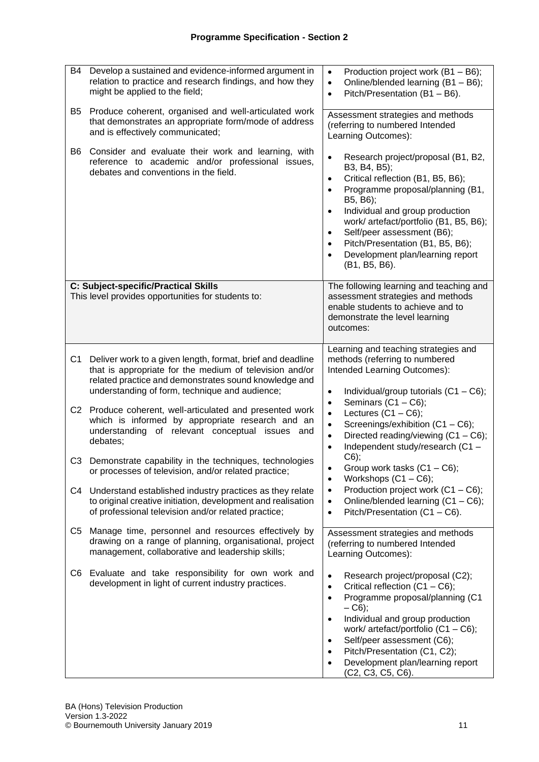| <b>B4</b><br>Develop a sustained and evidence-informed argument in<br>relation to practice and research findings, and how they<br>might be applied to the field;                                                                                   | Production project work (B1 - B6);<br>$\bullet$<br>Online/blended learning (B1 - B6);<br>$\bullet$<br>Pitch/Presentation (B1 - B6).<br>$\bullet$                                                                                                                                                                                                                                                                                       |
|----------------------------------------------------------------------------------------------------------------------------------------------------------------------------------------------------------------------------------------------------|----------------------------------------------------------------------------------------------------------------------------------------------------------------------------------------------------------------------------------------------------------------------------------------------------------------------------------------------------------------------------------------------------------------------------------------|
| Produce coherent, organised and well-articulated work<br>B5<br>that demonstrates an appropriate form/mode of address<br>and is effectively communicated;                                                                                           | Assessment strategies and methods<br>(referring to numbered Intended<br>Learning Outcomes):                                                                                                                                                                                                                                                                                                                                            |
| Consider and evaluate their work and learning, with<br>B6<br>reference to academic and/or professional issues,<br>debates and conventions in the field.                                                                                            | $\bullet$<br>Research project/proposal (B1, B2,<br>B3, B4, B5);<br>Critical reflection (B1, B5, B6);<br>$\bullet$<br>Programme proposal/planning (B1,<br>$\bullet$<br>B5, B6);<br>Individual and group production<br>$\bullet$<br>work/ artefact/portfolio (B1, B5, B6);<br>Self/peer assessment (B6);<br>$\bullet$<br>Pitch/Presentation (B1, B5, B6);<br>$\bullet$<br>Development plan/learning report<br>$\bullet$<br>(B1, B5, B6). |
| C: Subject-specific/Practical Skills<br>This level provides opportunities for students to:                                                                                                                                                         | The following learning and teaching and<br>assessment strategies and methods<br>enable students to achieve and to<br>demonstrate the level learning<br>outcomes:                                                                                                                                                                                                                                                                       |
| C <sub>1</sub><br>Deliver work to a given length, format, brief and deadline<br>that is appropriate for the medium of television and/or<br>related practice and demonstrates sound knowledge and<br>understanding of form, technique and audience; | Learning and teaching strategies and<br>methods (referring to numbered<br>Intended Learning Outcomes):<br>Individual/group tutorials $(C1 - C6)$ ;<br>$\bullet$<br>Seminars $(C1 - C6)$ ;<br>$\bullet$                                                                                                                                                                                                                                 |
| C2 Produce coherent, well-articulated and presented work<br>which is informed by appropriate research and an<br>understanding of relevant conceptual issues and<br>debates;                                                                        | Lectures $(C1 - C6)$ ;<br>$\bullet$<br>Screenings/exhibition (C1 - C6);<br>$\bullet$<br>Directed reading/viewing (C1 - C6);<br>$\bullet$<br>Independent study/research (C1 -<br>$\bullet$                                                                                                                                                                                                                                              |
| C3 Demonstrate capability in the techniques, technologies<br>or processes of television, and/or related practice;                                                                                                                                  | $C6$ );<br>Group work tasks (C1 - C6);<br>Workshops $(C1 - C6)$ ;<br>$\bullet$                                                                                                                                                                                                                                                                                                                                                         |
| Understand established industry practices as they relate<br>C4<br>to original creative initiation, development and realisation<br>of professional television and/or related practice;                                                              | Production project work $(C1 - C6)$ ;<br>$\bullet$<br>Online/blended learning (C1 - C6);<br>$\bullet$<br>Pitch/Presentation (C1 - C6).<br>$\bullet$                                                                                                                                                                                                                                                                                    |
| C5<br>Manage time, personnel and resources effectively by<br>drawing on a range of planning, organisational, project<br>management, collaborative and leadership skills;                                                                           | Assessment strategies and methods<br>(referring to numbered Intended<br>Learning Outcomes):                                                                                                                                                                                                                                                                                                                                            |
| Evaluate and take responsibility for own work and<br>C6<br>development in light of current industry practices.                                                                                                                                     | $\bullet$<br>Research project/proposal (C2);<br>Critical reflection (C1 - C6);<br>$\bullet$<br>Programme proposal/planning (C1<br>$\bullet$<br>$- C6$ ;<br>Individual and group production<br>$\bullet$<br>work/ artefact/portfolio $(C1 - C6)$ ;<br>Self/peer assessment (C6);<br>$\bullet$<br>Pitch/Presentation (C1, C2);<br>$\bullet$<br>Development plan/learning report<br>$\bullet$<br>(C2, C3, C5, C6).                        |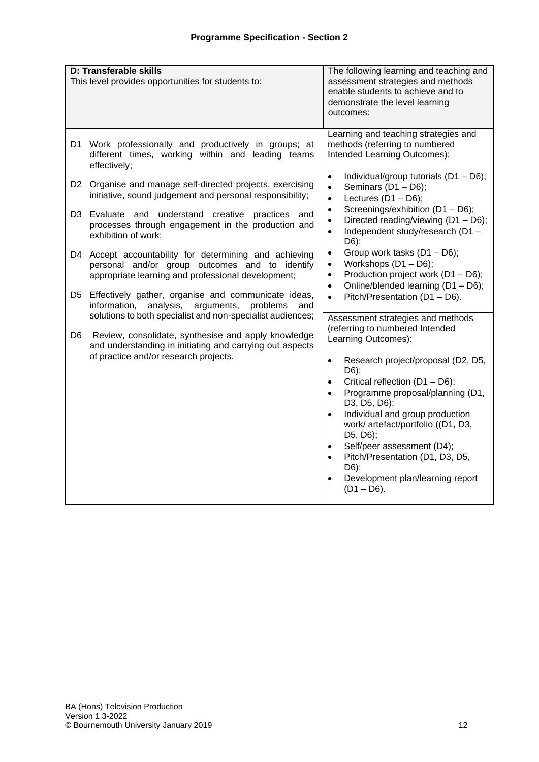| <b>D: Transferable skills</b><br>This level provides opportunities for students to:                                                                                 |                 | The following learning and teaching and<br>assessment strategies and methods<br>enable students to achieve and to<br>demonstrate the level learning<br>outcomes:                                                                                                                                                                                                                                                                                 |
|---------------------------------------------------------------------------------------------------------------------------------------------------------------------|-----------------|--------------------------------------------------------------------------------------------------------------------------------------------------------------------------------------------------------------------------------------------------------------------------------------------------------------------------------------------------------------------------------------------------------------------------------------------------|
|                                                                                                                                                                     |                 | Learning and teaching strategies and                                                                                                                                                                                                                                                                                                                                                                                                             |
| Work professionally and productively in groups; at<br>D1.<br>different times, working within and leading teams<br>effectively;                                      |                 | methods (referring to numbered<br>Intended Learning Outcomes):                                                                                                                                                                                                                                                                                                                                                                                   |
| D2 Organise and manage self-directed projects, exercising<br>initiative, sound judgement and personal responsibility;                                               |                 | Individual/group tutorials (D1 - D6);<br>$\bullet$<br>Seminars (D1 - D6);<br>$\bullet$<br>Lectures $(D1 - D6)$ ;<br>$\bullet$                                                                                                                                                                                                                                                                                                                    |
| D3 Evaluate and understand creative practices<br>processes through engagement in the production and<br>exhibition of work;                                          | and             | Screenings/exhibition (D1 - D6);<br>$\bullet$<br>Directed reading/viewing (D1 - D6);<br>$\bullet$<br>Independent study/research (D1 -<br>$\bullet$<br>$D6$ ;                                                                                                                                                                                                                                                                                     |
| Accept accountability for determining and achieving<br>D4<br>personal and/or group outcomes and to identify<br>appropriate learning and professional development;   |                 | Group work tasks (D1 - D6);<br>$\bullet$<br>Workshops $(D1 - D6)$ ;<br>$\bullet$<br>Production project work (D1 - D6);<br>$\bullet$<br>Online/blended learning (D1 - D6);<br>$\bullet$                                                                                                                                                                                                                                                           |
| Effectively gather, organise and communicate ideas,<br>D5.<br>information,<br>analysis,<br>arguments,<br>solutions to both specialist and non-specialist audiences; | problems<br>and | Pitch/Presentation (D1 - D6).<br>$\bullet$                                                                                                                                                                                                                                                                                                                                                                                                       |
| D <sub>6</sub><br>Review, consolidate, synthesise and apply knowledge<br>and understanding in initiating and carrying out aspects                                   |                 | Assessment strategies and methods<br>(referring to numbered Intended<br>Learning Outcomes):                                                                                                                                                                                                                                                                                                                                                      |
| of practice and/or research projects.                                                                                                                               |                 | Research project/proposal (D2, D5,<br>$\bullet$<br>$D6$ ;<br>Critical reflection (D1 - D6);<br>$\bullet$<br>Programme proposal/planning (D1,<br>$\bullet$<br>D3, D5, D6);<br>Individual and group production<br>$\bullet$<br>work/ artefact/portfolio ((D1, D3,<br>D5, D6);<br>Self/peer assessment (D4);<br>$\bullet$<br>Pitch/Presentation (D1, D3, D5,<br>$\bullet$<br>D6);<br>Development plan/learning report<br>$\bullet$<br>$(D1 - D6)$ . |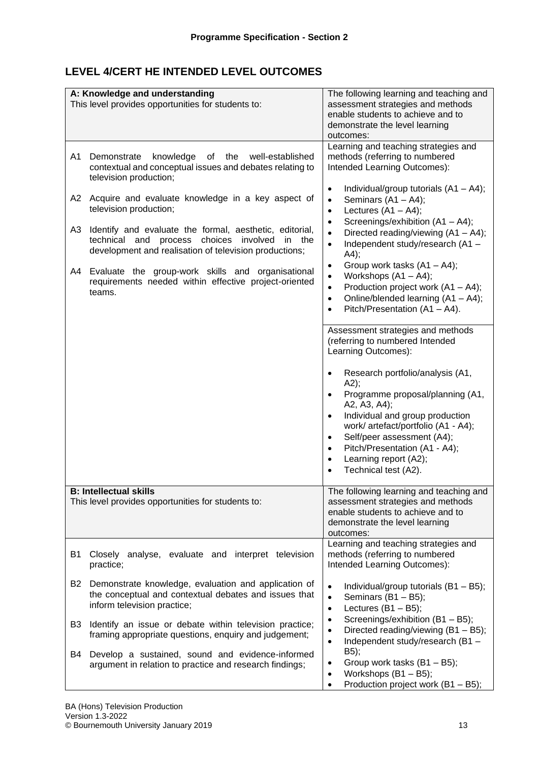# **LEVEL 4/CERT HE INTENDED LEVEL OUTCOMES**

|    | A: Knowledge and understanding<br>This level provides opportunities for students to:                                                                                     | The following learning and teaching and<br>assessment strategies and methods<br>enable students to achieve and to<br>demonstrate the level learning<br>outcomes:                                                                                                                                                                                                     |
|----|--------------------------------------------------------------------------------------------------------------------------------------------------------------------------|----------------------------------------------------------------------------------------------------------------------------------------------------------------------------------------------------------------------------------------------------------------------------------------------------------------------------------------------------------------------|
| A1 | knowledge<br>of the<br>well-established<br>Demonstrate<br>contextual and conceptual issues and debates relating to<br>television production;                             | Learning and teaching strategies and<br>methods (referring to numbered<br>Intended Learning Outcomes):<br>Individual/group tutorials $(A1 - A4)$ ;<br>$\bullet$                                                                                                                                                                                                      |
| A2 | Acquire and evaluate knowledge in a key aspect of<br>television production;                                                                                              | Seminars $(A1 - A4)$ ;<br>$\bullet$<br>Lectures $(A1 - A4)$ ;<br>$\bullet$<br>Screenings/exhibition (A1 - A4);<br>$\bullet$                                                                                                                                                                                                                                          |
| A3 | Identify and evaluate the formal, aesthetic, editorial,<br>technical and<br>process choices involved<br>in the<br>development and realisation of television productions; | Directed reading/viewing (A1 - A4);<br>$\bullet$<br>Independent study/research (A1 -<br>$\bullet$<br>A4);                                                                                                                                                                                                                                                            |
| A4 | Evaluate the group-work skills and organisational<br>requirements needed within effective project-oriented<br>teams.                                                     | Group work tasks $(A1 - A4)$ ;<br>$\bullet$<br>Workshops $(A1 - A4)$ ;<br>$\bullet$<br>Production project work $(A1 - A4)$ ;<br>$\bullet$<br>Online/blended learning (A1 - A4);<br>$\bullet$<br>Pitch/Presentation (A1 - A4).<br>$\bullet$                                                                                                                           |
|    |                                                                                                                                                                          | Assessment strategies and methods<br>(referring to numbered Intended<br>Learning Outcomes):                                                                                                                                                                                                                                                                          |
|    |                                                                                                                                                                          | Research portfolio/analysis (A1,<br>$\bullet$<br>A2);<br>Programme proposal/planning (A1,<br>A2, A3, A4);<br>Individual and group production<br>$\bullet$<br>work/ artefact/portfolio (A1 - A4);<br>Self/peer assessment (A4);<br>$\bullet$<br>Pitch/Presentation (A1 - A4);<br>$\bullet$<br>Learning report (A2);<br>$\bullet$<br>Technical test (A2).<br>$\bullet$ |
|    | <b>B: Intellectual skills</b><br>This level provides opportunities for students to:                                                                                      | The following learning and teaching and<br>assessment strategies and methods<br>enable students to achieve and to<br>demonstrate the level learning<br>outcomes:                                                                                                                                                                                                     |
| B1 | Closely analyse, evaluate and interpret television<br>practice;                                                                                                          | Learning and teaching strategies and<br>methods (referring to numbered<br>Intended Learning Outcomes):                                                                                                                                                                                                                                                               |
| B2 | Demonstrate knowledge, evaluation and application of<br>the conceptual and contextual debates and issues that<br>inform television practice;                             | $\bullet$<br>Individual/group tutorials $(B1 - B5)$ ;<br>Seminars $(B1 - B5)$ ;<br>$\bullet$<br>Lectures $(B1 - B5)$ ;<br>$\bullet$                                                                                                                                                                                                                                  |
| B3 | Identify an issue or debate within television practice;<br>framing appropriate questions, enquiry and judgement;                                                         | Screenings/exhibition (B1 - B5);<br>$\bullet$<br>Directed reading/viewing (B1 - B5);<br>$\bullet$<br>Independent study/research (B1-<br>$\bullet$                                                                                                                                                                                                                    |
| B4 | Develop a sustained, sound and evidence-informed<br>argument in relation to practice and research findings;                                                              | B5);<br>Group work tasks $(B1 - B5)$ ;<br>$\bullet$<br>Workshops $(B1 - B5)$ ;<br>$\bullet$<br>Production project work (B1 - B5);<br>$\bullet$                                                                                                                                                                                                                       |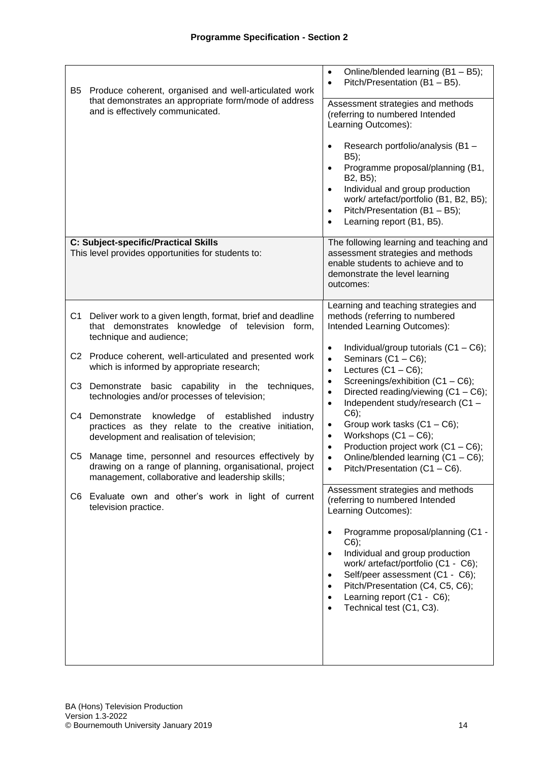| B5             | Produce coherent, organised and well-articulated work<br>that demonstrates an appropriate form/mode of address<br>and is effectively communicated.                 | Online/blended learning (B1 - B5);<br>$\bullet$<br>Pitch/Presentation (B1 - B5).<br>$\bullet$<br>Assessment strategies and methods<br>(referring to numbered Intended<br>Learning Outcomes):<br>Research portfolio/analysis (B1-<br>B5);<br>Programme proposal/planning (B1,<br>B2, B5);<br>Individual and group production<br>$\bullet$<br>work/ artefact/portfolio (B1, B2, B5);<br>Pitch/Presentation (B1 - B5);<br>$\bullet$<br>Learning report (B1, B5).<br>$\bullet$ |
|----------------|--------------------------------------------------------------------------------------------------------------------------------------------------------------------|----------------------------------------------------------------------------------------------------------------------------------------------------------------------------------------------------------------------------------------------------------------------------------------------------------------------------------------------------------------------------------------------------------------------------------------------------------------------------|
|                | C: Subject-specific/Practical Skills                                                                                                                               | The following learning and teaching and                                                                                                                                                                                                                                                                                                                                                                                                                                    |
|                | This level provides opportunities for students to:                                                                                                                 | assessment strategies and methods<br>enable students to achieve and to<br>demonstrate the level learning<br>outcomes:                                                                                                                                                                                                                                                                                                                                                      |
| C <sub>1</sub> | Deliver work to a given length, format, brief and deadline<br>that demonstrates knowledge of television form,<br>technique and audience;                           | Learning and teaching strategies and<br>methods (referring to numbered<br>Intended Learning Outcomes):                                                                                                                                                                                                                                                                                                                                                                     |
|                | C2 Produce coherent, well-articulated and presented work<br>which is informed by appropriate research;                                                             | Individual/group tutorials $(C1 - C6)$ ;<br>$\bullet$<br>Seminars $(C1 - C6)$ ;<br>$\bullet$<br>Lectures $(C1 - C6)$ ;<br>$\bullet$                                                                                                                                                                                                                                                                                                                                        |
| C <sub>3</sub> | Demonstrate basic capability in the techniques,<br>technologies and/or processes of television;                                                                    | Screenings/exhibition (C1-C6);<br>$\bullet$<br>Directed reading/viewing (C1 - C6);<br>$\bullet$<br>Independent study/research (C1 -<br>$\bullet$                                                                                                                                                                                                                                                                                                                           |
| C4             | Demonstrate<br>knowledge<br>of established<br>industry<br>practices as they relate to the creative initiation,<br>development and realisation of television;       | $C6$ );<br>Group work tasks $(C1 - C6)$ ;<br>$\bullet$<br>Workshops $(C1 - C6)$ ;<br>$\bullet$<br>Production project work $(C1 - C6)$ ;<br>$\bullet$                                                                                                                                                                                                                                                                                                                       |
| C5             | Manage time, personnel and resources effectively by<br>drawing on a range of planning, organisational, project<br>management, collaborative and leadership skills; | Online/blended learning (C1 - C6);<br>$\bullet$<br>Pitch/Presentation (C1 - C6).<br>$\bullet$                                                                                                                                                                                                                                                                                                                                                                              |
|                | C6 Evaluate own and other's work in light of current<br>television practice.                                                                                       | Assessment strategies and methods<br>(referring to numbered Intended<br>Learning Outcomes):                                                                                                                                                                                                                                                                                                                                                                                |
|                |                                                                                                                                                                    | Programme proposal/planning (C1 -<br>$C6$ );<br>Individual and group production<br>$\bullet$<br>work/ artefact/portfolio (C1 - C6);<br>Self/peer assessment (C1 - C6);<br>$\bullet$<br>Pitch/Presentation (C4, C5, C6);<br>Learning report (C1 - C6);<br>Technical test (C1, C3).                                                                                                                                                                                          |
|                |                                                                                                                                                                    |                                                                                                                                                                                                                                                                                                                                                                                                                                                                            |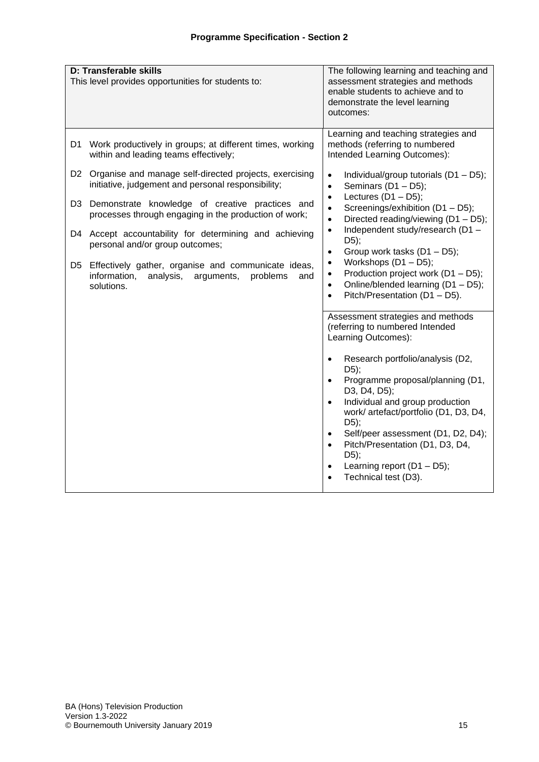|                                                                                                                                                                                                                                                                                                                                                                                                                                                                                                                                                                                                                                                                                                                                                                                                                                               | enable students to achieve and to<br>demonstrate the level learning<br>outcomes:                                                                                                                                                                                                                                                                                                                                                                                                                                                                                                                                                                                                                                                                                                                                                                                                                                           |
|-----------------------------------------------------------------------------------------------------------------------------------------------------------------------------------------------------------------------------------------------------------------------------------------------------------------------------------------------------------------------------------------------------------------------------------------------------------------------------------------------------------------------------------------------------------------------------------------------------------------------------------------------------------------------------------------------------------------------------------------------------------------------------------------------------------------------------------------------|----------------------------------------------------------------------------------------------------------------------------------------------------------------------------------------------------------------------------------------------------------------------------------------------------------------------------------------------------------------------------------------------------------------------------------------------------------------------------------------------------------------------------------------------------------------------------------------------------------------------------------------------------------------------------------------------------------------------------------------------------------------------------------------------------------------------------------------------------------------------------------------------------------------------------|
| Work productively in groups; at different times, working<br>D1<br>within and leading teams effectively;<br>Organise and manage self-directed projects, exercising<br>D2 -<br>$\bullet$<br>initiative, judgement and personal responsibility;<br>$\bullet$<br>$\bullet$<br>Demonstrate knowledge of creative practices and<br>D <sub>3</sub><br>$\bullet$<br>processes through engaging in the production of work;<br>$\bullet$<br>$\bullet$<br>D4 Accept accountability for determining and achieving<br>personal and/or group outcomes;<br>$\bullet$<br>$\bullet$<br>Effectively gather, organise and communicate ideas,<br>D5<br>$\bullet$<br>information,<br>analysis,<br>arguments,<br>problems<br>and<br>$\bullet$<br>solutions.<br>$\bullet$<br>$\bullet$<br>$\bullet$<br>$\bullet$<br>$\bullet$<br>$\bullet$<br>$\bullet$<br>$\bullet$ | Learning and teaching strategies and<br>methods (referring to numbered<br>Intended Learning Outcomes):<br>Individual/group tutorials (D1 - D5);<br>Seminars (D1 - D5);<br>Lectures $(D1 - D5)$ ;<br>Screenings/exhibition (D1 - D5);<br>Directed reading/viewing (D1 - D5);<br>Independent study/research (D1 -<br>D5);<br>Group work tasks (D1 - D5);<br>Workshops (D1 - D5);<br>Production project work (D1 - D5);<br>Online/blended learning (D1 - D5);<br>Pitch/Presentation (D1 - D5).<br>Assessment strategies and methods<br>(referring to numbered Intended<br>Learning Outcomes):<br>Research portfolio/analysis (D2,<br>$D5$ ;<br>Programme proposal/planning (D1,<br>D3, D4, D5);<br>Individual and group production<br>work/ artefact/portfolio (D1, D3, D4,<br>D5);<br>Self/peer assessment (D1, D2, D4);<br>Pitch/Presentation (D1, D3, D4,<br>D5);<br>Learning report $(D1 - D5)$ ;<br>Technical test (D3). |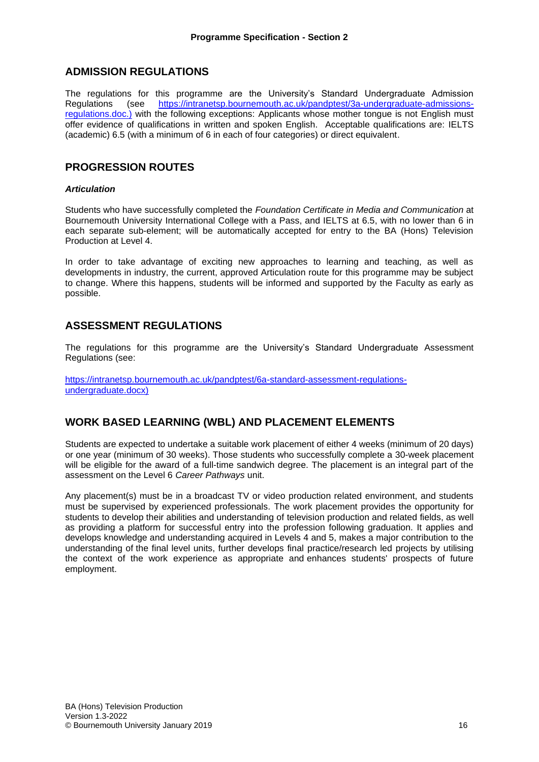# **ADMISSION REGULATIONS**

The regulations for this programme are the University's Standard Undergraduate Admission Regulations (see [https://intranetsp.bournemouth.ac.uk/pandptest/3a-undergraduate-admissions](https://intranetsp.bournemouth.ac.uk/pandptest/3a-undergraduate-admissions-regulations.doc.))[regulations.doc.\)](https://intranetsp.bournemouth.ac.uk/pandptest/3a-undergraduate-admissions-regulations.doc.)) with the following exceptions: Applicants whose mother tongue is not English must offer evidence of qualifications in written and spoken English. Acceptable qualifications are: IELTS (academic) 6.5 (with a minimum of 6 in each of four categories) or direct equivalent.

## **PROGRESSION ROUTES**

### *Articulation*

Students who have successfully completed the *Foundation Certificate in Media and Communication* at Bournemouth University International College with a Pass, and IELTS at 6.5, with no lower than 6 in each separate sub-element; will be automatically accepted for entry to the BA (Hons) Television Production at Level 4.

In order to take advantage of exciting new approaches to learning and teaching, as well as developments in industry, the current, approved Articulation route for this programme may be subject to change. Where this happens, students will be informed and supported by the Faculty as early as possible.

## **ASSESSMENT REGULATIONS**

The regulations for this programme are the University's Standard Undergraduate Assessment Regulations (see:

[https://intranetsp.bournemouth.ac.uk/pandptest/6a-standard-assessment-regulations](https://intranetsp.bournemouth.ac.uk/pandptest/6a-standard-assessment-regulations-undergraduate.docx)[undergraduate.docx\)](https://intranetsp.bournemouth.ac.uk/pandptest/6a-standard-assessment-regulations-undergraduate.docx)

## **WORK BASED LEARNING (WBL) AND PLACEMENT ELEMENTS**

Students are expected to undertake a suitable work placement of either 4 weeks (minimum of 20 days) or one year (minimum of 30 weeks). Those students who successfully complete a 30-week placement will be eligible for the award of a full-time sandwich degree. The placement is an integral part of the assessment on the Level 6 *Career Pathways* unit.

Any placement(s) must be in a broadcast TV or video production related environment, and students must be supervised by experienced professionals. The work placement provides the opportunity for students to develop their abilities and understanding of television production and related fields, as well as providing a platform for successful entry into the profession following graduation. It applies and develops knowledge and understanding acquired in Levels 4 and 5, makes a major contribution to the understanding of the final level units, further develops final practice/research led projects by utilising the context of the work experience as appropriate and enhances students' prospects of future employment.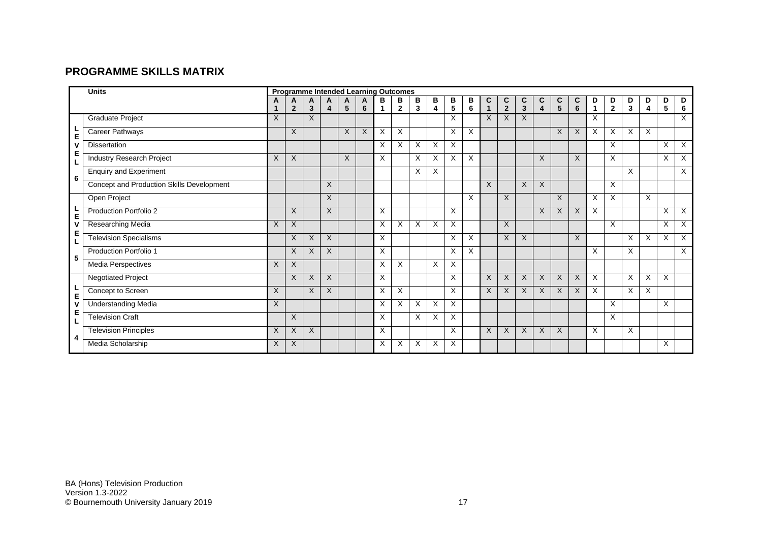# **PROGRAMME SKILLS MATRIX**

|   | <b>Units</b><br><b>Programme Intended Learning Outcomes</b> |          |                     |        |              |          |        |          |                   |        |        |        |        |              |                     |                   |                              |                      |        |                   |                     |                              |        |                      |          |
|---|-------------------------------------------------------------|----------|---------------------|--------|--------------|----------|--------|----------|-------------------|--------|--------|--------|--------|--------------|---------------------|-------------------|------------------------------|----------------------|--------|-------------------|---------------------|------------------------------|--------|----------------------|----------|
|   |                                                             |          | A<br>$\overline{2}$ | Α<br>3 | A<br>4       | A<br>5   | A<br>6 | В        | в<br>$\mathbf{2}$ | в<br>3 | В<br>4 | В<br>5 | В<br>6 | C<br>1       | C<br>$\overline{2}$ | C<br>$\mathbf{3}$ | C<br>$\overline{\mathbf{4}}$ | C<br>$5\phantom{.0}$ | C<br>6 | D<br>$\mathbf{1}$ | D<br>$\overline{2}$ | D<br>$\overline{\mathbf{3}}$ | D<br>4 | D<br>$5\phantom{.0}$ | D<br>6   |
|   | <b>Graduate Project</b>                                     | $\times$ |                     | X      |              |          |        |          |                   |        |        | X      |        | X            | X                   | X                 |                              |                      |        | X                 |                     |                              |        |                      | $\times$ |
|   | Career Pathways                                             |          | $\times$            |        |              | $\times$ | X      | $\times$ | X                 |        |        | X      | X      |              |                     |                   |                              | X                    | X      | $\times$          | X                   | X                            | X      |                      |          |
| E | <b>Dissertation</b>                                         |          |                     |        |              |          |        | $\times$ | X                 | X      | Χ      | X      |        |              |                     |                   |                              |                      |        |                   | X                   |                              |        | X                    | X        |
| Е | Industry Research Project                                   | X        | X                   |        |              | X        |        | X        |                   | X      | X      | X      | X      |              |                     |                   | X                            |                      | X      |                   | X                   |                              |        | X                    | $\times$ |
|   | <b>Enquiry and Experiment</b>                               |          |                     |        |              |          |        |          |                   | X      | X      |        |        |              |                     |                   |                              |                      |        |                   |                     | X                            |        |                      | $\times$ |
| 6 | Concept and Production Skills Development                   |          |                     |        | $\times$     |          |        |          |                   |        |        |        |        | $\mathsf{X}$ |                     | $\times$          | X                            |                      |        |                   | X                   |                              |        |                      |          |
|   | Open Project                                                |          |                     |        | $\times$     |          |        |          |                   |        |        |        | X      |              | $\times$            |                   |                              | X                    |        | $\times$          | X                   |                              | X      |                      |          |
| E | Production Portfolio 2                                      |          | X                   |        | X            |          |        | $\times$ |                   |        |        | Χ      |        |              |                     |                   | X                            | X                    | X      | $\times$          |                     |                              |        | X                    | $\times$ |
|   | <b>Researching Media</b>                                    | X        | X                   |        |              |          |        | $\times$ | X                 | X      | X      | X      |        |              | X                   |                   |                              |                      |        |                   | X                   |                              |        | X                    | $\times$ |
| Е | <b>Television Specialisms</b>                               |          | $\times$            | X      | $\times$     |          |        | X        |                   |        |        | X      | X      |              | $\times$            | X                 |                              |                      | X      |                   |                     | X                            | X      | X                    | $\times$ |
| 5 | Production Portfolio 1                                      |          | X                   | X      | X            |          |        | $\times$ |                   |        |        | X      | X      |              |                     |                   |                              |                      |        | X                 |                     | X                            |        |                      | $\times$ |
|   | Media Perspectives                                          | X        | $\mathsf{X}$        |        |              |          |        | $\times$ | X                 |        | X      | X      |        |              |                     |                   |                              |                      |        |                   |                     |                              |        |                      |          |
|   | <b>Negotiated Project</b>                                   |          | $\times$            | X      | $\mathsf{X}$ |          |        | $\times$ |                   |        |        | X      |        | X            | $\times$            | $\times$          | X                            | X                    | X      | $\times$          |                     | X                            | X      | X                    |          |
| E | Concept to Screen                                           | X        |                     | X      | $\times$     |          |        | $\times$ | X                 |        |        | X      |        | $\mathsf{X}$ | $\times$            | $\times$          | X                            | X                    | X      | $\times$          |                     | X                            | X      |                      |          |
|   | <b>Understanding Media</b>                                  | $\sf X$  |                     |        |              |          |        | $\times$ | X                 | X      | X      | X      |        |              |                     |                   |                              |                      |        |                   | X                   |                              |        | X                    |          |
| Е | <b>Television Craft</b>                                     |          | $\mathsf{X}$        |        |              |          |        | X        |                   | X      | X      | Χ      |        |              |                     |                   |                              |                      |        |                   | X                   |                              |        |                      |          |
| 4 | <b>Television Principles</b>                                | X        | X                   | X      |              |          |        | X        |                   |        |        | X      |        | X            | $\times$            | $\times$          | X                            | X                    |        | X                 |                     | X                            |        |                      |          |
|   | Media Scholarship                                           | X        | X                   |        |              |          |        | X        | X                 | X      | X      | X      |        |              |                     |                   |                              |                      |        |                   |                     |                              |        | X                    |          |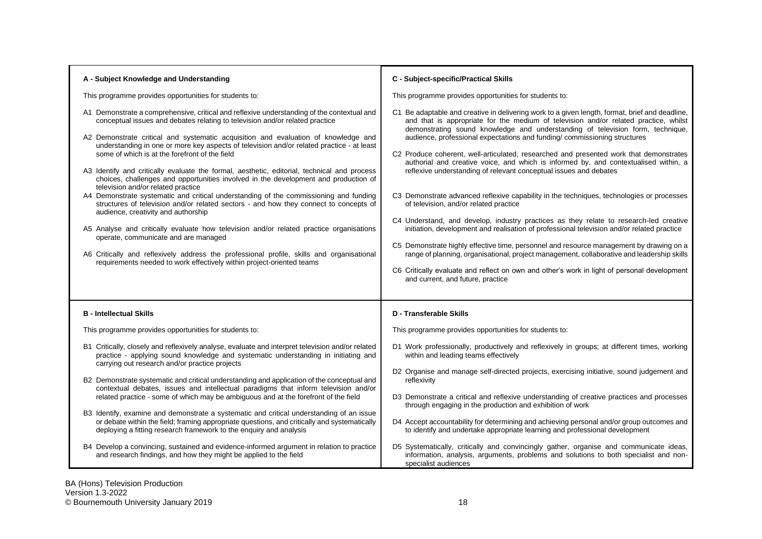| A - Subject Knowledge and Understanding                                                                                                                                                                                                                                                                                                                                                                                                                                                                                                                                                                                                                                                                                                                                                                                                                                                                                                                                                                                                                                                                                                                                       | C - Subject-specific/Practical Skills                                                                                                                                                                                                                                                                                                                                                                                                                                                                                                                                                                                                                                                                                                                                                                                                                                                                                                                                                                                                                                                                                                                                                                                                                                   |
|-------------------------------------------------------------------------------------------------------------------------------------------------------------------------------------------------------------------------------------------------------------------------------------------------------------------------------------------------------------------------------------------------------------------------------------------------------------------------------------------------------------------------------------------------------------------------------------------------------------------------------------------------------------------------------------------------------------------------------------------------------------------------------------------------------------------------------------------------------------------------------------------------------------------------------------------------------------------------------------------------------------------------------------------------------------------------------------------------------------------------------------------------------------------------------|-------------------------------------------------------------------------------------------------------------------------------------------------------------------------------------------------------------------------------------------------------------------------------------------------------------------------------------------------------------------------------------------------------------------------------------------------------------------------------------------------------------------------------------------------------------------------------------------------------------------------------------------------------------------------------------------------------------------------------------------------------------------------------------------------------------------------------------------------------------------------------------------------------------------------------------------------------------------------------------------------------------------------------------------------------------------------------------------------------------------------------------------------------------------------------------------------------------------------------------------------------------------------|
| This programme provides opportunities for students to:                                                                                                                                                                                                                                                                                                                                                                                                                                                                                                                                                                                                                                                                                                                                                                                                                                                                                                                                                                                                                                                                                                                        | This programme provides opportunities for students to:                                                                                                                                                                                                                                                                                                                                                                                                                                                                                                                                                                                                                                                                                                                                                                                                                                                                                                                                                                                                                                                                                                                                                                                                                  |
| A1 Demonstrate a comprehensive, critical and reflexive understanding of the contextual and<br>conceptual issues and debates relating to television and/or related practice<br>A2 Demonstrate critical and systematic acquisition and evaluation of knowledge and<br>understanding in one or more key aspects of television and/or related practice - at least<br>some of which is at the forefront of the field<br>A3 Identify and critically evaluate the formal, aesthetic, editorial, technical and process<br>choices, challenges and opportunities involved in the development and production of<br>television and/or related practice<br>A4 Demonstrate systematic and critical understanding of the commissioning and funding<br>structures of television and/or related sectors - and how they connect to concepts of<br>audience, creativity and authorship<br>A5 Analyse and critically evaluate how television and/or related practice organisations<br>operate, communicate and are managed<br>A6 Critically and reflexively address the professional profile, skills and organisational<br>requirements needed to work effectively within project-oriented teams | C1 Be adaptable and creative in delivering work to a given length, format, brief and deadline,<br>and that is appropriate for the medium of television and/or related practice, whilst<br>demonstrating sound knowledge and understanding of television form, technique,<br>audience, professional expectations and funding/commissioning structures<br>C2 Produce coherent, well-articulated, researched and presented work that demonstrates<br>authorial and creative voice, and which is informed by, and contextualised within, a<br>reflexive understanding of relevant conceptual issues and debates<br>C3 Demonstrate advanced reflexive capability in the techniques, technologies or processes<br>of television, and/or related practice<br>C4 Understand, and develop, industry practices as they relate to research-led creative<br>initiation, development and realisation of professional television and/or related practice<br>C5 Demonstrate highly effective time, personnel and resource management by drawing on a<br>range of planning, organisational, project management, collaborative and leadership skills<br>C6 Critically evaluate and reflect on own and other's work in light of personal development<br>and current, and future, practice |
| <b>B</b> - Intellectual Skills                                                                                                                                                                                                                                                                                                                                                                                                                                                                                                                                                                                                                                                                                                                                                                                                                                                                                                                                                                                                                                                                                                                                                | <b>D</b> - Transferable Skills                                                                                                                                                                                                                                                                                                                                                                                                                                                                                                                                                                                                                                                                                                                                                                                                                                                                                                                                                                                                                                                                                                                                                                                                                                          |
| This programme provides opportunities for students to:                                                                                                                                                                                                                                                                                                                                                                                                                                                                                                                                                                                                                                                                                                                                                                                                                                                                                                                                                                                                                                                                                                                        | This programme provides opportunities for students to:                                                                                                                                                                                                                                                                                                                                                                                                                                                                                                                                                                                                                                                                                                                                                                                                                                                                                                                                                                                                                                                                                                                                                                                                                  |
| B1 Critically, closely and reflexively analyse, evaluate and interpret television and/or related<br>practice - applying sound knowledge and systematic understanding in initiating and<br>carrying out research and/or practice projects                                                                                                                                                                                                                                                                                                                                                                                                                                                                                                                                                                                                                                                                                                                                                                                                                                                                                                                                      | D1 Work professionally, productively and reflexively in groups; at different times, working<br>within and leading teams effectively                                                                                                                                                                                                                                                                                                                                                                                                                                                                                                                                                                                                                                                                                                                                                                                                                                                                                                                                                                                                                                                                                                                                     |
| B2 Demonstrate systematic and critical understanding and application of the conceptual and<br>contextual debates, issues and intellectual paradigms that inform television and/or<br>related practice - some of which may be ambiguous and at the forefront of the field                                                                                                                                                                                                                                                                                                                                                                                                                                                                                                                                                                                                                                                                                                                                                                                                                                                                                                      | D2 Organise and manage self-directed projects, exercising initiative, sound judgement and<br>reflexivity<br>D3 Demonstrate a critical and reflexive understanding of creative practices and processes<br>through engaging in the production and exhibition of work                                                                                                                                                                                                                                                                                                                                                                                                                                                                                                                                                                                                                                                                                                                                                                                                                                                                                                                                                                                                      |
| B3 Identify, examine and demonstrate a systematic and critical understanding of an issue<br>or debate within the field; framing appropriate questions, and critically and systematically<br>deploying a fitting research framework to the enquiry and analysis                                                                                                                                                                                                                                                                                                                                                                                                                                                                                                                                                                                                                                                                                                                                                                                                                                                                                                                | D4 Accept accountability for determining and achieving personal and/or group outcomes and<br>to identify and undertake appropriate learning and professional development                                                                                                                                                                                                                                                                                                                                                                                                                                                                                                                                                                                                                                                                                                                                                                                                                                                                                                                                                                                                                                                                                                |
| B4 Develop a convincing, sustained and evidence-informed argument in relation to practice<br>and research findings, and how they might be applied to the field                                                                                                                                                                                                                                                                                                                                                                                                                                                                                                                                                                                                                                                                                                                                                                                                                                                                                                                                                                                                                | D5 Systematically, critically and convincingly gather, organise and communicate ideas,<br>information, analysis, arguments, problems and solutions to both specialist and non-<br>specialist audiences                                                                                                                                                                                                                                                                                                                                                                                                                                                                                                                                                                                                                                                                                                                                                                                                                                                                                                                                                                                                                                                                  |